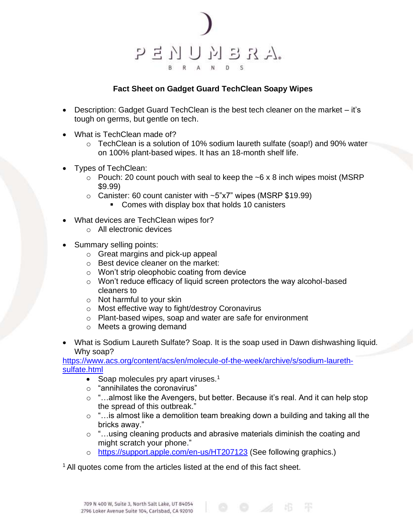

## **Fact Sheet on Gadget Guard TechClean Soapy Wipes**

- Description: Gadget Guard TechClean is the best tech cleaner on the market it's tough on germs, but gentle on tech.
- What is TechClean made of?
	- $\circ$  TechClean is a solution of 10% sodium laureth sulfate (soap!) and 90% water on 100% plant-based wipes. It has an 18-month shelf life.
- Types of TechClean:
	- $\circ$  Pouch: 20 count pouch with seal to keep the ~6 x 8 inch wipes moist (MSRP) \$9.99)
	- $\circ$  Canister: 60 count canister with  $\sim$ 5"x7" wipes (MSRP \$19.99)
		- Comes with display box that holds 10 canisters
- What devices are TechClean wipes for?
	- o All electronic devices
- Summary selling points:
	- o Great margins and pick-up appeal
	- o Best device cleaner on the market:
	- o Won't strip oleophobic coating from device
	- o Won't reduce efficacy of liquid screen protectors the way alcohol-based cleaners to
	- o Not harmful to your skin
	- o Most effective way to fight/destroy Coronavirus
	- o Plant-based wipes, soap and water are safe for environment
	- o Meets a growing demand
- What is Sodium Laureth Sulfate? Soap. It is the soap used in Dawn dishwashing liquid. Why soap?

[https://www.acs.org/content/acs/en/molecule-of-the-week/archive/s/sodium-laureth](https://www.acs.org/content/acs/en/molecule-of-the-week/archive/s/sodium-laureth-sulfate.html)[sulfate.html](https://www.acs.org/content/acs/en/molecule-of-the-week/archive/s/sodium-laureth-sulfate.html)

- Soap molecules pry apart viruses. $1$
- o "annihilates the coronavirus"
- o "…almost like the Avengers, but better. Because it's real. And it can help stop the spread of this outbreak."
- $\circ$  "... is almost like a demolition team breaking down a building and taking all the bricks away."

 $\circ$   $\neq$   $\circ$ 

- o "…using cleaning products and abrasive materials diminish the coating and might scratch your phone."
- o <https://support.apple.com/en-us/HT207123> (See following graphics.)

<sup>1</sup> All quotes come from the articles listed at the end of this fact sheet.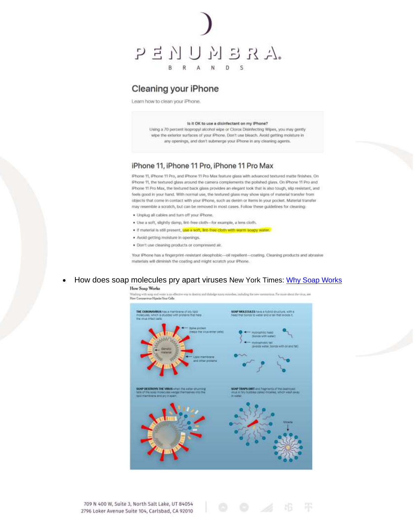

# Cleaning your iPhone

Learn how to clean your iPhone.

#### Is it OK to use a disinfectant on my iPhone?

Using a 70 percent isopropyl alcohol wipe or Clorox Disinfecting Wipes, you may gently wipe the exterior surfaces of your IPhone, Don't use bleach. Avoid getting moisture in any openings, and don't submerge your iPhone in any cleaning agents.

### iPhone 11, iPhone 11 Pro, iPhone 11 Pro Max

IPhone 11, IPhone 11 Pro, and iPhone 11 Pro Max feature glass with advanced textured matte finishes. On IPhone 11, the textured glass around the camera complements the polished glass. On IPhone 11 Pro and iPhone 11 Pro Max, the textured back glass provides an elegant look that is also tough, slip resistant, and feels good in your hand. With normal use, the textured glass may show signs of material transfer from objects that come in contact with your IPhone, such as denim or items in your pocket. Material transfer may resemble a scratch, but can be removed in most cases. Follow these guidelines for cleaning:

- . Unplug all cables and turn off your iPhone.
- . Use a soft, slightly damp, lint-free cloth-for example, a lens cloth.
- . If material is still present, use a soft, lint-free cloth with warm soapy water.
- · Avoid getting moisture in openings.
- · Don't use cleaning products or compressed air.

Your iPhone has a fingerprint-resistant oleophobic--oil repellent-coating. Cleaning products and abrasive materials will diminish the coating and might scratch your Phone.

### How does soap molecules pry apart viruses New York Times: Why Soap Works

#### **How Soap Works**

including the new memorialism. The more short the virus, we to to descript and dislador and How Communicat Histories Your Cells